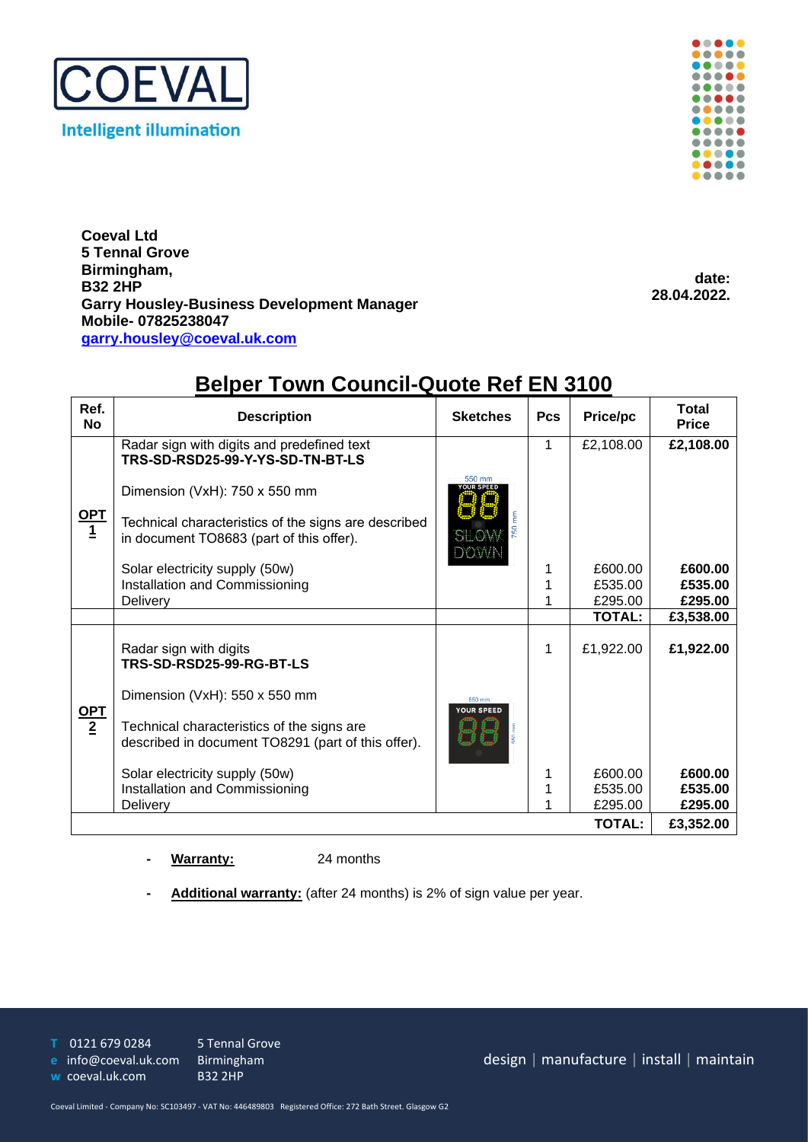



**Coeval Ltd 5 Tennal Grove Birmingham, B32 2HP Garry Housley-Business Development Manager Mobile- 07825238047 garry.housley@coeval.uk.com**

**date: 28.04.2022.**

| ,,,,,,<br><b>TOMIL ODUITOIL QUOTO ITOLEIT OTOO</b> |                                                                                                  |                             |            |               |                              |
|----------------------------------------------------|--------------------------------------------------------------------------------------------------|-----------------------------|------------|---------------|------------------------------|
| Ref.<br><b>No</b>                                  | <b>Description</b>                                                                               | <b>Sketches</b>             | <b>Pcs</b> | Price/pc      | <b>Total</b><br><b>Price</b> |
| $\frac{\text{OPT}}{1}$                             | Radar sign with digits and predefined text<br>TRS-SD-RSD25-99-Y-YS-SD-TN-BT-LS                   |                             | 1          | £2,108.00     | £2,108.00                    |
|                                                    | Dimension (VxH): 750 x 550 mm                                                                    | 550 mm                      |            |               |                              |
|                                                    | Technical characteristics of the signs are described<br>in document TO8683 (part of this offer). | <u>THANK</u><br>EXOMN       |            |               |                              |
|                                                    | Solar electricity supply (50w)                                                                   |                             | 1          | £600.00       | £600.00                      |
|                                                    | Installation and Commissioning                                                                   |                             |            | £535.00       | £535.00                      |
|                                                    | Delivery                                                                                         |                             |            | £295.00       | £295.00                      |
|                                                    |                                                                                                  |                             |            | <b>TOTAL:</b> | £3,538.00                    |
| <u>OPT</u><br>$\overline{2}$                       | Radar sign with digits<br>TRS-SD-RSD25-99-RG-BT-LS                                               |                             | 1          | £1,922.00     | £1,922.00                    |
|                                                    | Dimension (VxH): 550 x 550 mm                                                                    | 550 mm<br><b>YOUR SPEED</b> |            |               |                              |
|                                                    | Technical characteristics of the signs are<br>described in document TO8291 (part of this offer). |                             |            |               |                              |
|                                                    | Solar electricity supply (50w)                                                                   |                             | 1          | £600.00       | £600.00                      |
|                                                    | Installation and Commissioning                                                                   |                             | 1          | £535.00       | £535.00                      |
|                                                    | Delivery                                                                                         |                             |            | £295.00       | £295.00                      |
| <b>TOTAL:</b>                                      |                                                                                                  |                             |            |               | £3,352.00                    |
|                                                    |                                                                                                  |                             |            |               |                              |

## **Belper Town Council-Quote Ref EN 3100**

**- Warranty:** 24 months

**- Additional warranty:** (after 24 months) is 2% of sign value per year.

**T** 0121 679 0284 5 Tennal Grove

**e** [info@coeval.uk.com](mailto:info@coeval.uk.com) Birmingham

**w** coeval.uk.com B32 2HP

design | manufacture | install | maintain

Coeval Limited - Company No: SC103497 - VAT No: 446489803 Registered Office: 272 Bath Street. Glasgow G2